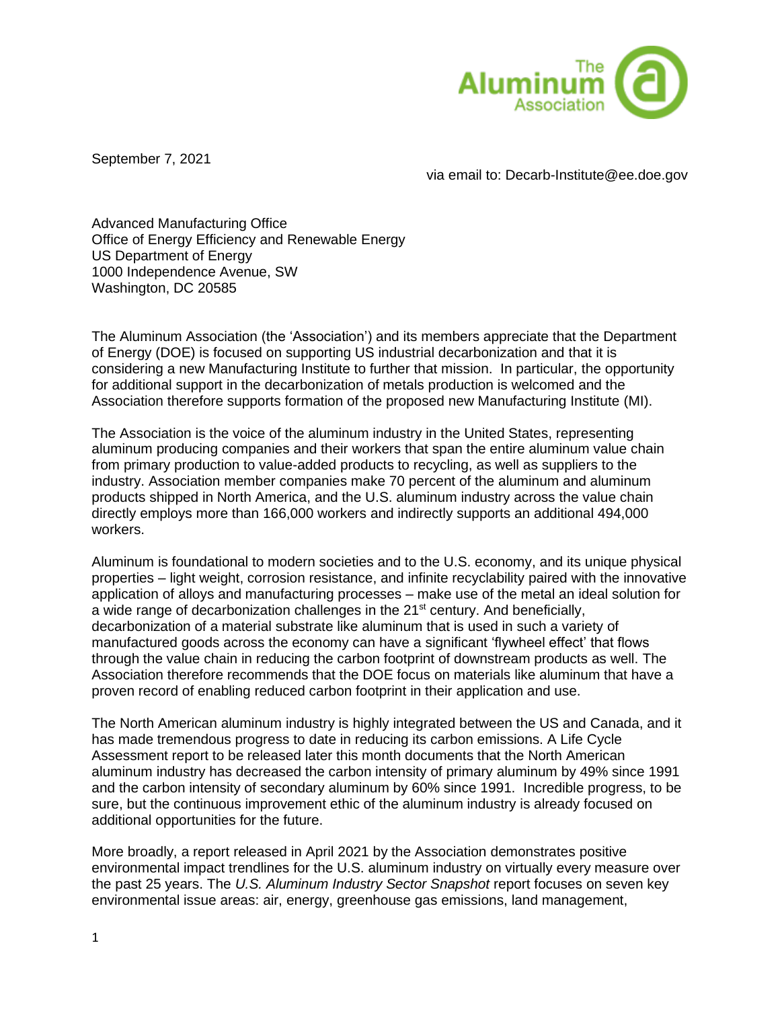

September 7, 2021

via email to: Decarb-Institute@ee.doe.gov

Advanced Manufacturing Office Office of Energy Efficiency and Renewable Energy US Department of Energy 1000 Independence Avenue, SW Washington, DC 20585

The Aluminum Association (the 'Association') and its members appreciate that the Department of Energy (DOE) is focused on supporting US industrial decarbonization and that it is considering a new Manufacturing Institute to further that mission. In particular, the opportunity for additional support in the decarbonization of metals production is welcomed and the Association therefore supports formation of the proposed new Manufacturing Institute (MI).

The Association is the voice of the aluminum industry in the United States, representing aluminum producing companies and their workers that span the entire aluminum value chain from primary production to value-added products to recycling, as well as suppliers to the industry. Association member companies make 70 percent of the aluminum and aluminum products shipped in North America, and the U.S. aluminum industry across the value chain directly employs more than 166,000 workers and indirectly supports an additional 494,000 workers.

Aluminum is foundational to modern societies and to the U.S. economy, and its unique physical properties – light weight, corrosion resistance, and infinite recyclability paired with the innovative application of alloys and manufacturing processes – make use of the metal an ideal solution for a wide range of decarbonization challenges in the 21<sup>st</sup> century. And beneficially, decarbonization of a material substrate like aluminum that is used in such a variety of manufactured goods across the economy can have a significant 'flywheel effect' that flows through the value chain in reducing the carbon footprint of downstream products as well. The Association therefore recommends that the DOE focus on materials like aluminum that have a proven record of enabling reduced carbon footprint in their application and use.

The North American aluminum industry is highly integrated between the US and Canada, and it has made tremendous progress to date in reducing its carbon emissions. A Life Cycle Assessment report to be released later this month documents that the North American aluminum industry has decreased the carbon intensity of primary aluminum by 49% since 1991 and the carbon intensity of secondary aluminum by 60% since 1991. Incredible progress, to be sure, but the continuous improvement ethic of the aluminum industry is already focused on additional opportunities for the future.

More broadly, a report released in April 2021 by the Association demonstrates positive environmental impact trendlines for the U.S. aluminum industry on virtually every measure over the past 25 years. The *U.S. Aluminum Industry Sector Snapshot* report focuses on seven key environmental issue areas: air, energy, greenhouse gas emissions, land management,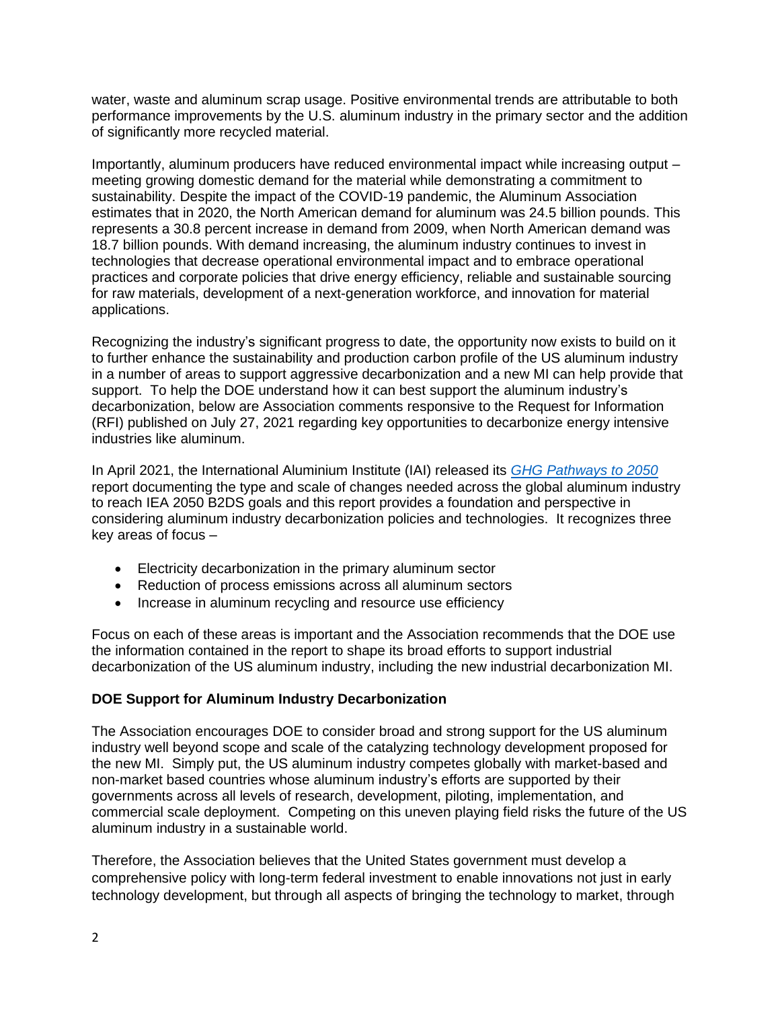water, waste and aluminum scrap usage. Positive environmental trends are attributable to both performance improvements by the U.S. aluminum industry in the primary sector and the addition of significantly more recycled material.

Importantly, aluminum producers have reduced environmental impact while increasing output – meeting growing domestic demand for the material while demonstrating a commitment to sustainability. Despite the impact of the COVID-19 pandemic, the Aluminum Association estimates that in 2020, the North American demand for aluminum was 24.5 billion pounds. This represents a 30.8 percent increase in demand from 2009, when North American demand was 18.7 billion pounds. With demand increasing, the aluminum industry continues to invest in technologies that decrease operational environmental impact and to embrace operational practices and corporate policies that drive energy efficiency, reliable and sustainable sourcing for raw materials, development of a next-generation workforce, and innovation for material applications.

Recognizing the industry's significant progress to date, the opportunity now exists to build on it to further enhance the sustainability and production carbon profile of the US aluminum industry in a number of areas to support aggressive decarbonization and a new MI can help provide that support. To help the DOE understand how it can best support the aluminum industry's decarbonization, below are Association comments responsive to the Request for Information (RFI) published on July 27, 2021 regarding key opportunities to decarbonize energy intensive industries like aluminum.

In April 2021, the International Aluminium Institute (IAI) released its *[GHG Pathways to 2050](https://international-aluminium.org/resource/aluminium-sector-greenhouse-gas-pathways-to-2050-2021/)* report documenting the type and scale of changes needed across the global aluminum industry to reach IEA 2050 B2DS goals and this report provides a foundation and perspective in considering aluminum industry decarbonization policies and technologies. It recognizes three key areas of focus –

- Electricity decarbonization in the primary aluminum sector
- Reduction of process emissions across all aluminum sectors
- Increase in aluminum recycling and resource use efficiency

Focus on each of these areas is important and the Association recommends that the DOE use the information contained in the report to shape its broad efforts to support industrial decarbonization of the US aluminum industry, including the new industrial decarbonization MI.

# **DOE Support for Aluminum Industry Decarbonization**

The Association encourages DOE to consider broad and strong support for the US aluminum industry well beyond scope and scale of the catalyzing technology development proposed for the new MI. Simply put, the US aluminum industry competes globally with market-based and non-market based countries whose aluminum industry's efforts are supported by their governments across all levels of research, development, piloting, implementation, and commercial scale deployment. Competing on this uneven playing field risks the future of the US aluminum industry in a sustainable world.

Therefore, the Association believes that the United States government must develop a comprehensive policy with long-term federal investment to enable innovations not just in early technology development, but through all aspects of bringing the technology to market, through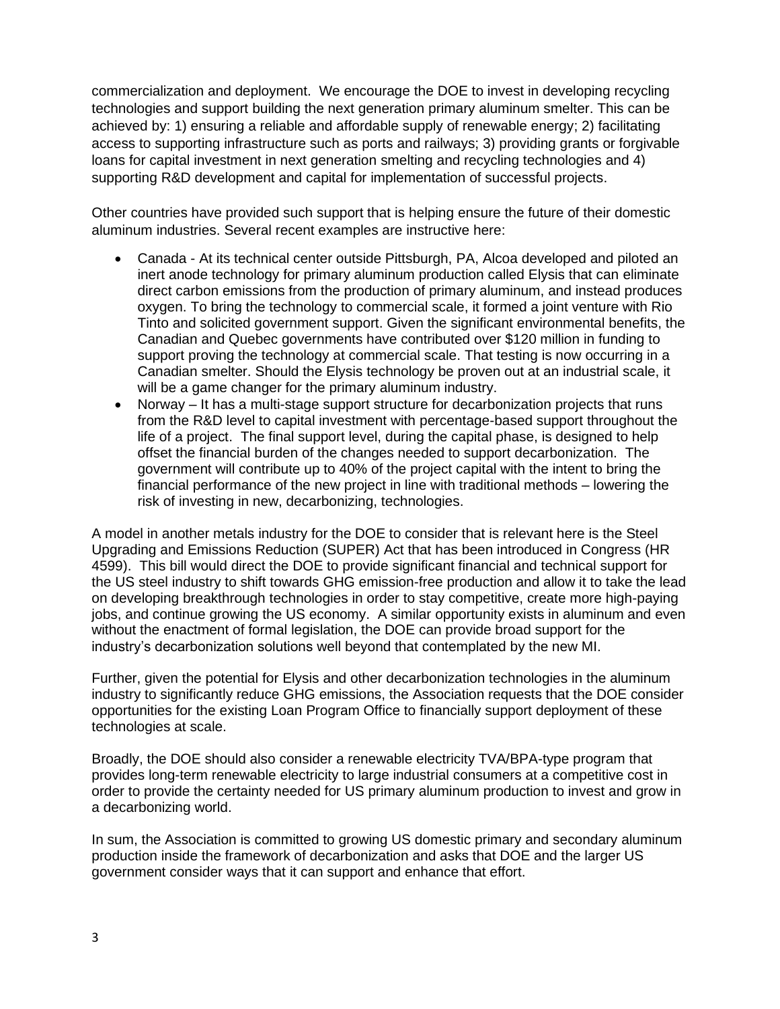commercialization and deployment. We encourage the DOE to invest in developing recycling technologies and support building the next generation primary aluminum smelter. This can be achieved by: 1) ensuring a reliable and affordable supply of renewable energy; 2) facilitating access to supporting infrastructure such as ports and railways; 3) providing grants or forgivable loans for capital investment in next generation smelting and recycling technologies and 4) supporting R&D development and capital for implementation of successful projects.

Other countries have provided such support that is helping ensure the future of their domestic aluminum industries. Several recent examples are instructive here:

- Canada At its technical center outside Pittsburgh, PA, Alcoa developed and piloted an inert anode technology for primary aluminum production called Elysis that can eliminate direct carbon emissions from the production of primary aluminum, and instead produces oxygen. To bring the technology to commercial scale, it formed a joint venture with Rio Tinto and solicited government support. Given the significant environmental benefits, the Canadian and Quebec governments have contributed over \$120 million in funding to support proving the technology at commercial scale. That testing is now occurring in a Canadian smelter. Should the Elysis technology be proven out at an industrial scale, it will be a game changer for the primary aluminum industry.
- Norway It has a multi-stage support structure for decarbonization projects that runs from the R&D level to capital investment with percentage-based support throughout the life of a project. The final support level, during the capital phase, is designed to help offset the financial burden of the changes needed to support decarbonization. The government will contribute up to 40% of the project capital with the intent to bring the financial performance of the new project in line with traditional methods – lowering the risk of investing in new, decarbonizing, technologies.

A model in another metals industry for the DOE to consider that is relevant here is the Steel Upgrading and Emissions Reduction (SUPER) Act that has been introduced in Congress (HR 4599). This bill would direct the DOE to provide significant financial and technical support for the US steel industry to shift towards GHG emission-free production and allow it to take the lead on developing breakthrough technologies in order to stay competitive, create more high-paying jobs, and continue growing the US economy. A similar opportunity exists in aluminum and even without the enactment of formal legislation, the DOE can provide broad support for the industry's decarbonization solutions well beyond that contemplated by the new MI.

Further, given the potential for Elysis and other decarbonization technologies in the aluminum industry to significantly reduce GHG emissions, the Association requests that the DOE consider opportunities for the existing Loan Program Office to financially support deployment of these technologies at scale.

Broadly, the DOE should also consider a renewable electricity TVA/BPA-type program that provides long-term renewable electricity to large industrial consumers at a competitive cost in order to provide the certainty needed for US primary aluminum production to invest and grow in a decarbonizing world.

In sum, the Association is committed to growing US domestic primary and secondary aluminum production inside the framework of decarbonization and asks that DOE and the larger US government consider ways that it can support and enhance that effort.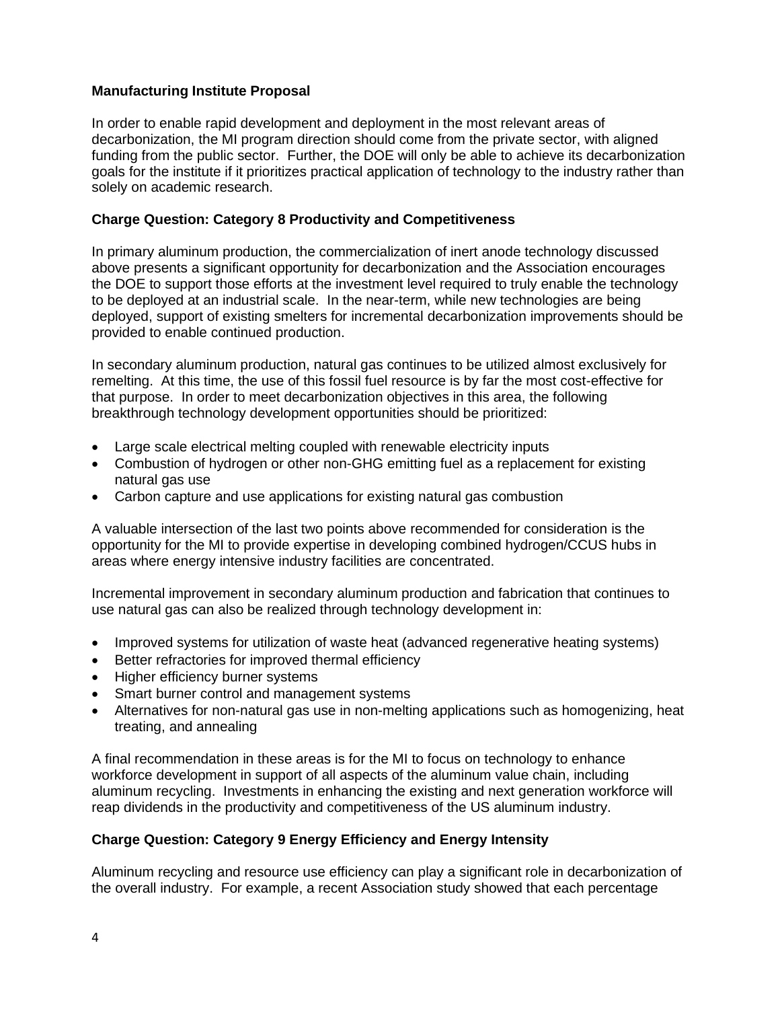# **Manufacturing Institute Proposal**

In order to enable rapid development and deployment in the most relevant areas of decarbonization, the MI program direction should come from the private sector, with aligned funding from the public sector. Further, the DOE will only be able to achieve its decarbonization goals for the institute if it prioritizes practical application of technology to the industry rather than solely on academic research.

## **Charge Question: Category 8 Productivity and Competitiveness**

In primary aluminum production, the commercialization of inert anode technology discussed above presents a significant opportunity for decarbonization and the Association encourages the DOE to support those efforts at the investment level required to truly enable the technology to be deployed at an industrial scale. In the near-term, while new technologies are being deployed, support of existing smelters for incremental decarbonization improvements should be provided to enable continued production.

In secondary aluminum production, natural gas continues to be utilized almost exclusively for remelting. At this time, the use of this fossil fuel resource is by far the most cost-effective for that purpose. In order to meet decarbonization objectives in this area, the following breakthrough technology development opportunities should be prioritized:

- Large scale electrical melting coupled with renewable electricity inputs
- Combustion of hydrogen or other non-GHG emitting fuel as a replacement for existing natural gas use
- Carbon capture and use applications for existing natural gas combustion

A valuable intersection of the last two points above recommended for consideration is the opportunity for the MI to provide expertise in developing combined hydrogen/CCUS hubs in areas where energy intensive industry facilities are concentrated.

Incremental improvement in secondary aluminum production and fabrication that continues to use natural gas can also be realized through technology development in:

- Improved systems for utilization of waste heat (advanced regenerative heating systems)
- Better refractories for improved thermal efficiency
- Higher efficiency burner systems
- Smart burner control and management systems
- Alternatives for non-natural gas use in non-melting applications such as homogenizing, heat treating, and annealing

A final recommendation in these areas is for the MI to focus on technology to enhance workforce development in support of all aspects of the aluminum value chain, including aluminum recycling. Investments in enhancing the existing and next generation workforce will reap dividends in the productivity and competitiveness of the US aluminum industry.

# **Charge Question: Category 9 Energy Efficiency and Energy Intensity**

Aluminum recycling and resource use efficiency can play a significant role in decarbonization of the overall industry. For example, a recent Association study showed that each percentage